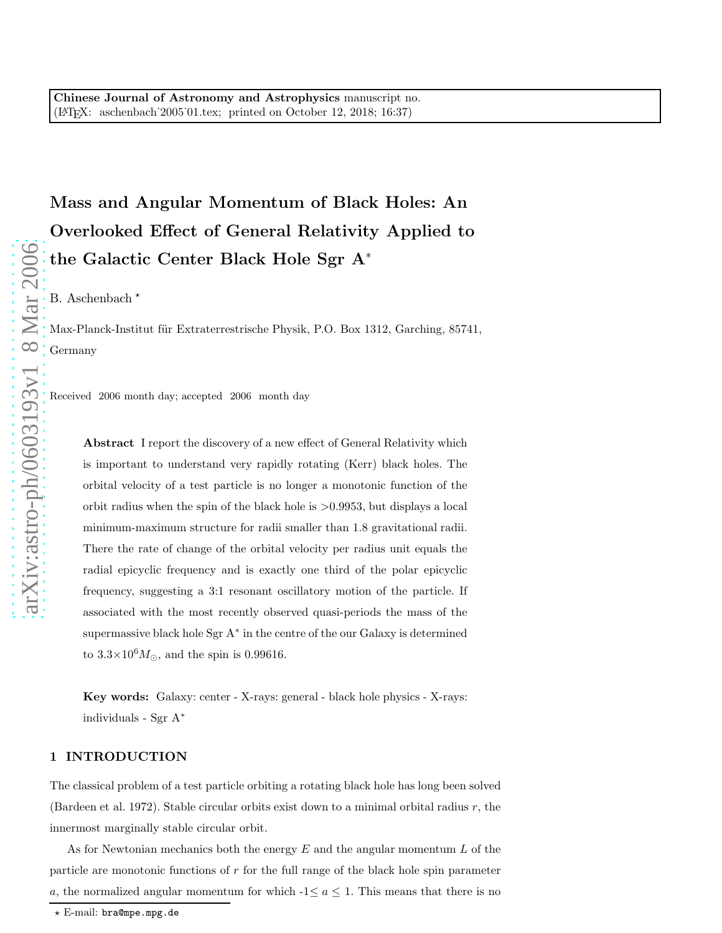Mass and Angular Momentum of Black Holes: An Overlooked Effect of General Relativity Applied to the Galactic Center Black Hole Sgr A ∗

B. Aschenbach  $\star$ 

Max-Planck-Institut für Extraterrestrische Physik, P.O. Box 1312, Garching, 85741, Germany

Received 2006 month day; accepted 2006 month day

Abstract I report the discovery of a new effect of General Relativity which is important to understand very rapidly rotating (Kerr) black holes. The orbital velocity of a test particle is no longer a monotonic function of the orbit radius when the spin of the black hole is >0.9953, but displays a local minimum-maximum structure for radii smaller than 1.8 gravitational radii. There the rate of change of the orbital velocity per radius unit equals the radial epicyclic frequency and is exactly one third of the polar epicyclic frequency, suggesting a 3:1 resonant oscillatory motion of the particle. If associated with the most recently observed quasi-periods the mass of the supermassive black hole Sgr A<sup>\*</sup> in the centre of the our Galaxy is determined to  $3.3 \times 10^6 M_{\odot}$ , and the spin is 0.99616.

Key words: Galaxy: center - X-rays: general - black hole physics - X-rays: individuals - Sgr A ∗

# 1 INTRODUCTION

The classical problem of a test particle orbiting a rotating black hole has long been solved (Bardeen et al. 1972). Stable circular orbits exist down to a minimal orbital radius r, the innermost marginally stable circular orbit.

As for Newtonian mechanics both the energy  $E$  and the angular momentum  $L$  of the particle are monotonic functions of  $r$  for the full range of the black hole spin parameter a, the normalized angular momentum for which  $-1 \le a \le 1$ . This means that there is no

 $\star$  E-mail: bra@mpe.mpg.de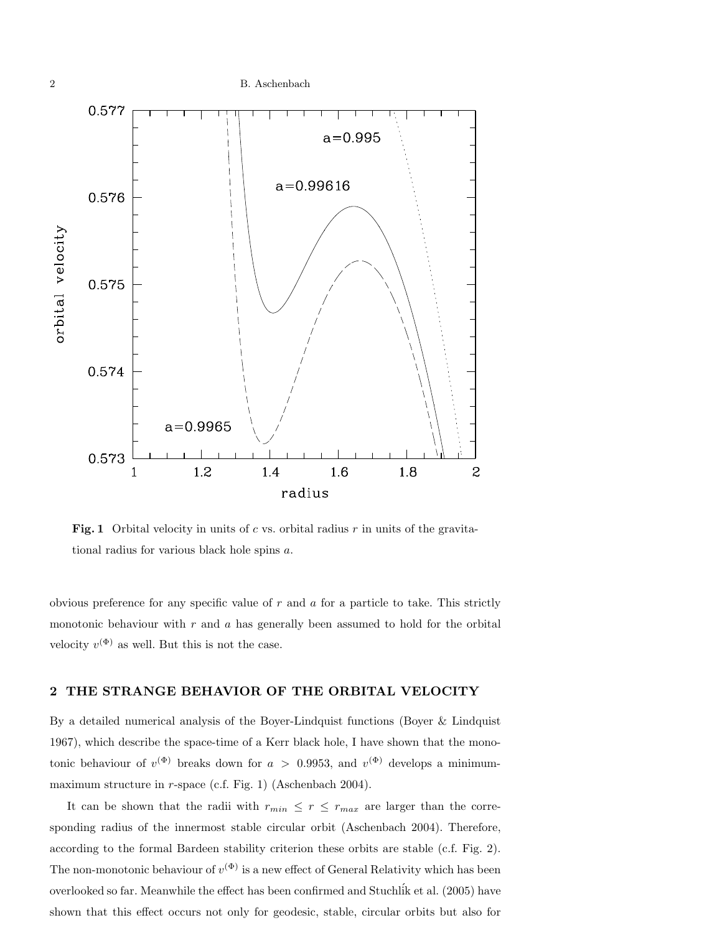

Fig. 1 Orbital velocity in units of c vs. orbital radius  $r$  in units of the gravitational radius for various black hole spins a.

obvious preference for any specific value of  $r$  and  $a$  for a particle to take. This strictly monotonic behaviour with  $r$  and  $a$  has generally been assumed to hold for the orbital velocity  $v^{(\Phi)}$  as well. But this is not the case.

## 2 THE STRANGE BEHAVIOR OF THE ORBITAL VELOCITY

By a detailed numerical analysis of the Boyer-Lindquist functions (Boyer & Lindquist 1967), which describe the space-time of a Kerr black hole, I have shown that the monotonic behaviour of  $v^{(\Phi)}$  breaks down for  $a > 0.9953$ , and  $v^{(\Phi)}$  develops a minimummaximum structure in r-space (c.f. Fig. 1) (Aschenbach 2004).

It can be shown that the radii with  $r_{min} \leq r \leq r_{max}$  are larger than the corresponding radius of the innermost stable circular orbit (Aschenbach 2004). Therefore, according to the formal Bardeen stability criterion these orbits are stable (c.f. Fig. 2). The non-monotonic behaviour of  $v^{(\Phi)}$  is a new effect of General Relativity which has been overlooked so far. Meanwhile the effect has been confirmed and Stuchl´ik et al. (2005) have shown that this effect occurs not only for geodesic, stable, circular orbits but also for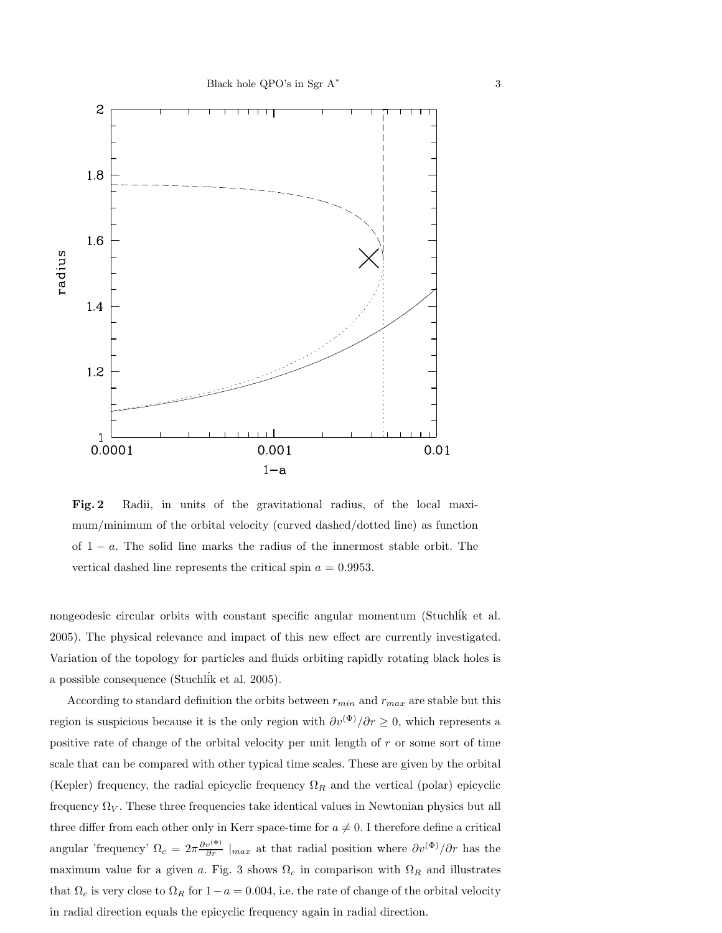

. Fig. 2 Radii, in units of the gravitational radius, of the local maximum/minimum of the orbital velocity (curved dashed/dotted line) as function of  $1 - a$ . The solid line marks the radius of the innermost stable orbit. The vertical dashed line represents the critical spin  $a = 0.9953$ .

nongeodesic circular orbits with constant specific angular momentum (Stuchlik et al. 2005). The physical relevance and impact of this new effect are currently investigated. Variation of the topology for particles and fluids orbiting rapidly rotating black holes is a possible consequence (Stuchl´ik et al. 2005).

According to standard definition the orbits between  $r_{min}$  and  $r_{max}$  are stable but this region is suspicious because it is the only region with  $\partial v^{(\Phi)}/\partial r \geq 0$ , which represents a positive rate of change of the orbital velocity per unit length of r or some sort of time scale that can be compared with other typical time scales. These are given by the orbital (Kepler) frequency, the radial epicyclic frequency  $\Omega_R$  and the vertical (polar) epicyclic frequency  $\Omega_V$ . These three frequencies take identical values in Newtonian physics but all three differ from each other only in Kerr space-time for  $a \neq 0$ . I therefore define a critical angular 'frequency'  $\Omega_c = 2\pi \frac{\partial v^{(\Phi)}}{\partial r} \mid_{max}$  at that radial position where  $\partial v^{(\Phi)}/\partial r$  has the maximum value for a given a. Fig. 3 shows  $\Omega_c$  in comparison with  $\Omega_R$  and illustrates that  $\Omega_c$  is very close to  $\Omega_R$  for  $1-a = 0.004$ , i.e. the rate of change of the orbital velocity in radial direction equals the epicyclic frequency again in radial direction.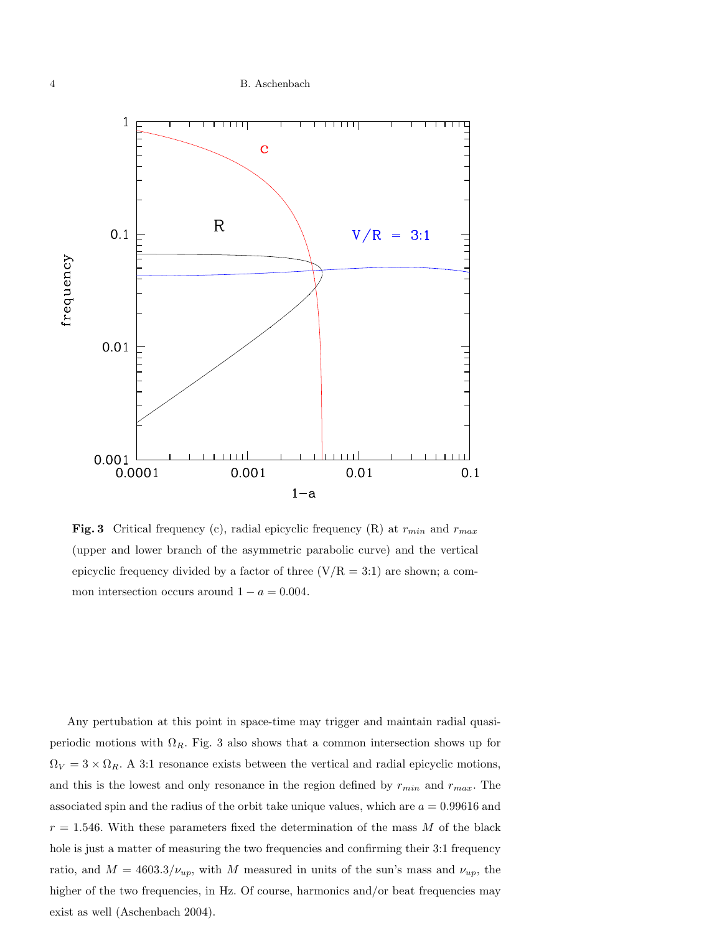

**Fig. 3** Critical frequency (c), radial epicyclic frequency (R) at  $r_{min}$  and  $r_{max}$ (upper and lower branch of the asymmetric parabolic curve) and the vertical epicyclic frequency divided by a factor of three  $(V/R = 3:1)$  are shown; a common intersection occurs around  $1 - a = 0.004$ .

Any pertubation at this point in space-time may trigger and maintain radial quasiperiodic motions with  $\Omega_R$ . Fig. 3 also shows that a common intersection shows up for  $\Omega_V = 3 \times \Omega_R$ . A 3:1 resonance exists between the vertical and radial epicyclic motions, and this is the lowest and only resonance in the region defined by  $r_{min}$  and  $r_{max}$ . The associated spin and the radius of the orbit take unique values, which are  $a = 0.99616$  and  $r = 1.546$ . With these parameters fixed the determination of the mass M of the black hole is just a matter of measuring the two frequencies and confirming their 3:1 frequency ratio, and  $M = 4603.3/\nu_{up}$ , with M measured in units of the sun's mass and  $\nu_{up}$ , the higher of the two frequencies, in Hz. Of course, harmonics and/or beat frequencies may exist as well (Aschenbach 2004).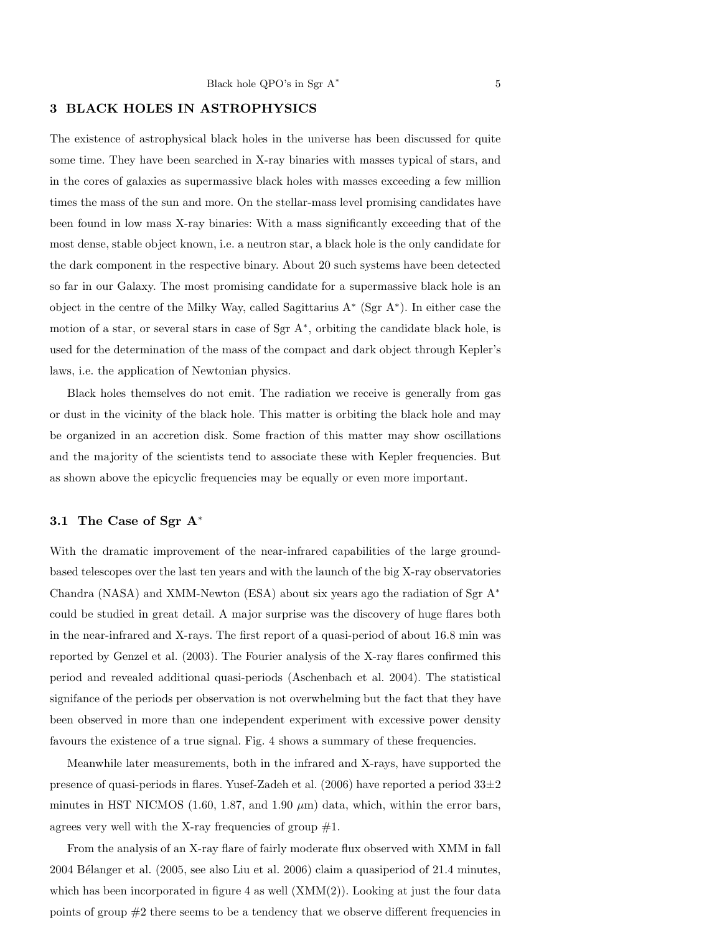## 3 BLACK HOLES IN ASTROPHYSICS

The existence of astrophysical black holes in the universe has been discussed for quite some time. They have been searched in X-ray binaries with masses typical of stars, and in the cores of galaxies as supermassive black holes with masses exceeding a few million times the mass of the sun and more. On the stellar-mass level promising candidates have been found in low mass X-ray binaries: With a mass significantly exceeding that of the most dense, stable object known, i.e. a neutron star, a black hole is the only candidate for the dark component in the respective binary. About 20 such systems have been detected so far in our Galaxy. The most promising candidate for a supermassive black hole is an object in the centre of the Milky Way, called Sagittarius A<sup>∗</sup> (Sgr A<sup>∗</sup> ). In either case the motion of a star, or several stars in case of Sgr A<sup>∗</sup> , orbiting the candidate black hole, is used for the determination of the mass of the compact and dark object through Kepler's laws, i.e. the application of Newtonian physics.

Black holes themselves do not emit. The radiation we receive is generally from gas or dust in the vicinity of the black hole. This matter is orbiting the black hole and may be organized in an accretion disk. Some fraction of this matter may show oscillations and the majority of the scientists tend to associate these with Kepler frequencies. But as shown above the epicyclic frequencies may be equally or even more important.

## 3.1 The Case of Sgr A<sup>∗</sup>

With the dramatic improvement of the near-infrared capabilities of the large groundbased telescopes over the last ten years and with the launch of the big X-ray observatories Chandra (NASA) and XMM-Newton (ESA) about six years ago the radiation of Sgr  $A^*$ could be studied in great detail. A major surprise was the discovery of huge flares both in the near-infrared and X-rays. The first report of a quasi-period of about 16.8 min was reported by Genzel et al. (2003). The Fourier analysis of the X-ray flares confirmed this period and revealed additional quasi-periods (Aschenbach et al. 2004). The statistical signifance of the periods per observation is not overwhelming but the fact that they have been observed in more than one independent experiment with excessive power density favours the existence of a true signal. Fig. 4 shows a summary of these frequencies.

Meanwhile later measurements, both in the infrared and X-rays, have supported the presence of quasi-periods in flares. Yusef-Zadeh et al.  $(2006)$  have reported a period  $33\pm 2$ minutes in HST NICMOS (1.60, 1.87, and 1.90  $\mu$ m) data, which, within the error bars, agrees very well with the X-ray frequencies of group  $\#1$ .

From the analysis of an X-ray flare of fairly moderate flux observed with XMM in fall 2004 Bélanger et al.  $(2005, \text{see also Liu et al. } 2006)$  claim a quasiperiod of 21.4 minutes, which has been incorporated in figure 4 as well  $(XMM(2))$ . Looking at just the four data points of group  $#2$  there seems to be a tendency that we observe different frequencies in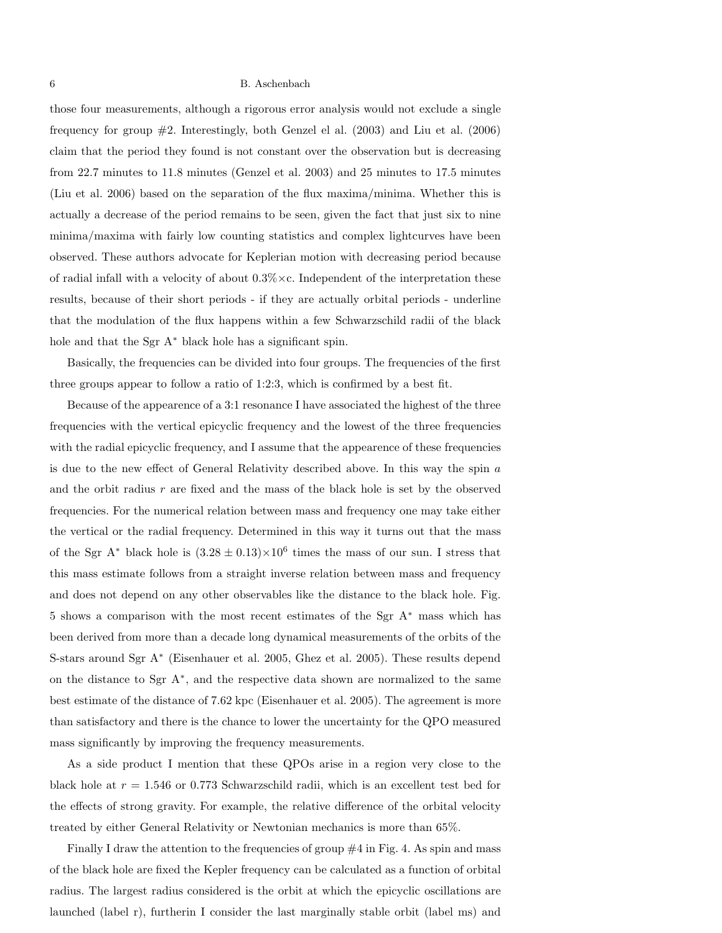those four measurements, although a rigorous error analysis would not exclude a single frequency for group #2. Interestingly, both Genzel el al. (2003) and Liu et al. (2006) claim that the period they found is not constant over the observation but is decreasing from 22.7 minutes to 11.8 minutes (Genzel et al. 2003) and 25 minutes to 17.5 minutes (Liu et al. 2006) based on the separation of the flux maxima/minima. Whether this is actually a decrease of the period remains to be seen, given the fact that just six to nine minima/maxima with fairly low counting statistics and complex lightcurves have been observed. These authors advocate for Keplerian motion with decreasing period because of radial infall with a velocity of about  $0.3\% \times c$ . Independent of the interpretation these results, because of their short periods - if they are actually orbital periods - underline that the modulation of the flux happens within a few Schwarzschild radii of the black hole and that the Sgr A<sup>∗</sup> black hole has a significant spin.

Basically, the frequencies can be divided into four groups. The frequencies of the first three groups appear to follow a ratio of 1:2:3, which is confirmed by a best fit.

Because of the appearence of a 3:1 resonance I have associated the highest of the three frequencies with the vertical epicyclic frequency and the lowest of the three frequencies with the radial epicyclic frequency, and I assume that the appearence of these frequencies is due to the new effect of General Relativity described above. In this way the spin a and the orbit radius  $r$  are fixed and the mass of the black hole is set by the observed frequencies. For the numerical relation between mass and frequency one may take either the vertical or the radial frequency. Determined in this way it turns out that the mass of the Sgr A<sup>\*</sup> black hole is  $(3.28 \pm 0.13) \times 10^6$  times the mass of our sun. I stress that this mass estimate follows from a straight inverse relation between mass and frequency and does not depend on any other observables like the distance to the black hole. Fig. 5 shows a comparison with the most recent estimates of the Sgr A<sup>∗</sup> mass which has been derived from more than a decade long dynamical measurements of the orbits of the S-stars around Sgr A<sup>∗</sup> (Eisenhauer et al. 2005, Ghez et al. 2005). These results depend on the distance to Sgr A<sup>∗</sup> , and the respective data shown are normalized to the same best estimate of the distance of 7.62 kpc (Eisenhauer et al. 2005). The agreement is more than satisfactory and there is the chance to lower the uncertainty for the QPO measured mass significantly by improving the frequency measurements.

As a side product I mention that these QPOs arise in a region very close to the black hole at  $r = 1.546$  or 0.773 Schwarzschild radii, which is an excellent test bed for the effects of strong gravity. For example, the relative difference of the orbital velocity treated by either General Relativity or Newtonian mechanics is more than 65%.

Finally I draw the attention to the frequencies of group  $\#4$  in Fig. 4. As spin and mass of the black hole are fixed the Kepler frequency can be calculated as a function of orbital radius. The largest radius considered is the orbit at which the epicyclic oscillations are launched (label r), furtherin I consider the last marginally stable orbit (label ms) and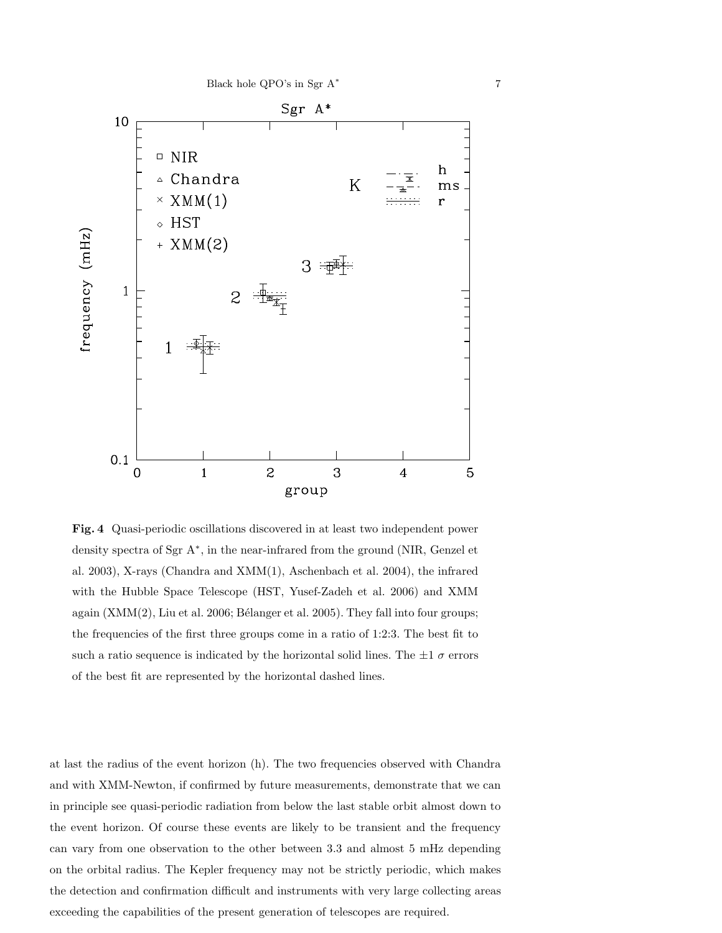

Fig. 4 Quasi-periodic oscillations discovered in at least two independent power density spectra of Sgr A<sup>∗</sup> , in the near-infrared from the ground (NIR, Genzel et al. 2003), X-rays (Chandra and XMM(1), Aschenbach et al. 2004), the infrared with the Hubble Space Telescope (HST, Yusef-Zadeh et al. 2006) and XMM again  $(XMM(2), Liu et al. 2006; Bélanger et al. 2005). They fall into four groups;$ the frequencies of the first three groups come in a ratio of 1:2:3. The best fit to such a ratio sequence is indicated by the horizontal solid lines. The  $\pm 1 \sigma$  errors of the best fit are represented by the horizontal dashed lines.

at last the radius of the event horizon (h). The two frequencies observed with Chandra and with XMM-Newton, if confirmed by future measurements, demonstrate that we can in principle see quasi-periodic radiation from below the last stable orbit almost down to the event horizon. Of course these events are likely to be transient and the frequency can vary from one observation to the other between 3.3 and almost 5 mHz depending on the orbital radius. The Kepler frequency may not be strictly periodic, which makes the detection and confirmation difficult and instruments with very large collecting areas exceeding the capabilities of the present generation of telescopes are required.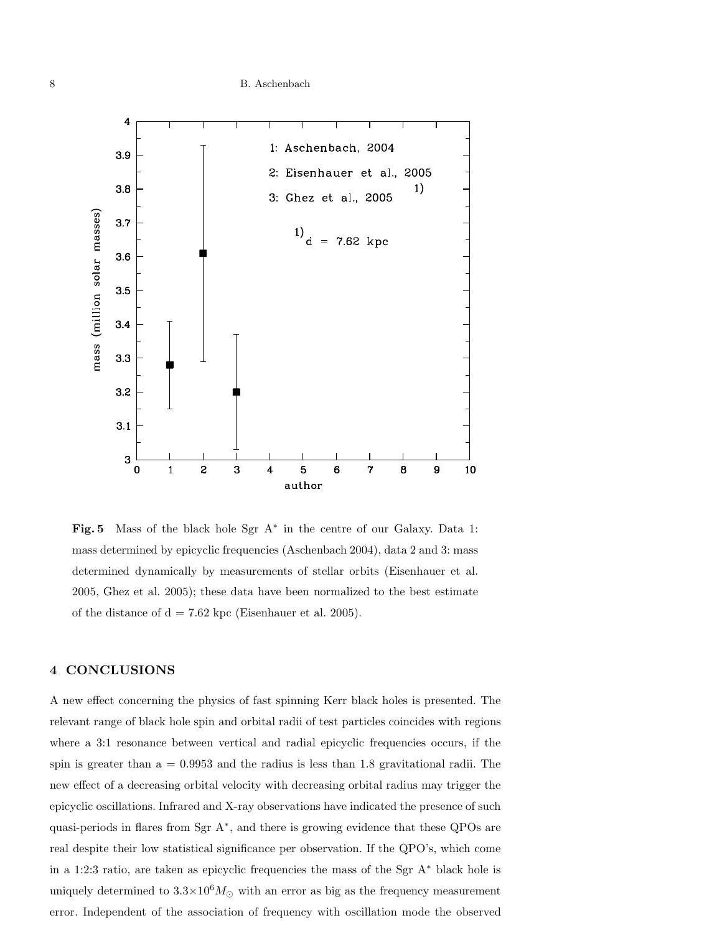

Fig. 5 Mass of the black hole Sgr A<sup>\*</sup> in the centre of our Galaxy. Data 1: mass determined by epicyclic frequencies (Aschenbach 2004), data 2 and 3: mass determined dynamically by measurements of stellar orbits (Eisenhauer et al. 2005, Ghez et al. 2005); these data have been normalized to the best estimate of the distance of  $d = 7.62$  kpc (Eisenhauer et al. 2005).

## 4 CONCLUSIONS

A new effect concerning the physics of fast spinning Kerr black holes is presented. The relevant range of black hole spin and orbital radii of test particles coincides with regions where a 3:1 resonance between vertical and radial epicyclic frequencies occurs, if the spin is greater than  $a = 0.9953$  and the radius is less than 1.8 gravitational radii. The new effect of a decreasing orbital velocity with decreasing orbital radius may trigger the epicyclic oscillations. Infrared and X-ray observations have indicated the presence of such quasi-periods in flares from Sgr A<sup>\*</sup>, and there is growing evidence that these QPOs are real despite their low statistical significance per observation. If the QPO's, which come in a 1:2:3 ratio, are taken as epicyclic frequencies the mass of the Sgr A<sup>∗</sup> black hole is uniquely determined to  $3.3\times10^6M_\odot$  with an error as big as the frequency measurement error. Independent of the association of frequency with oscillation mode the observed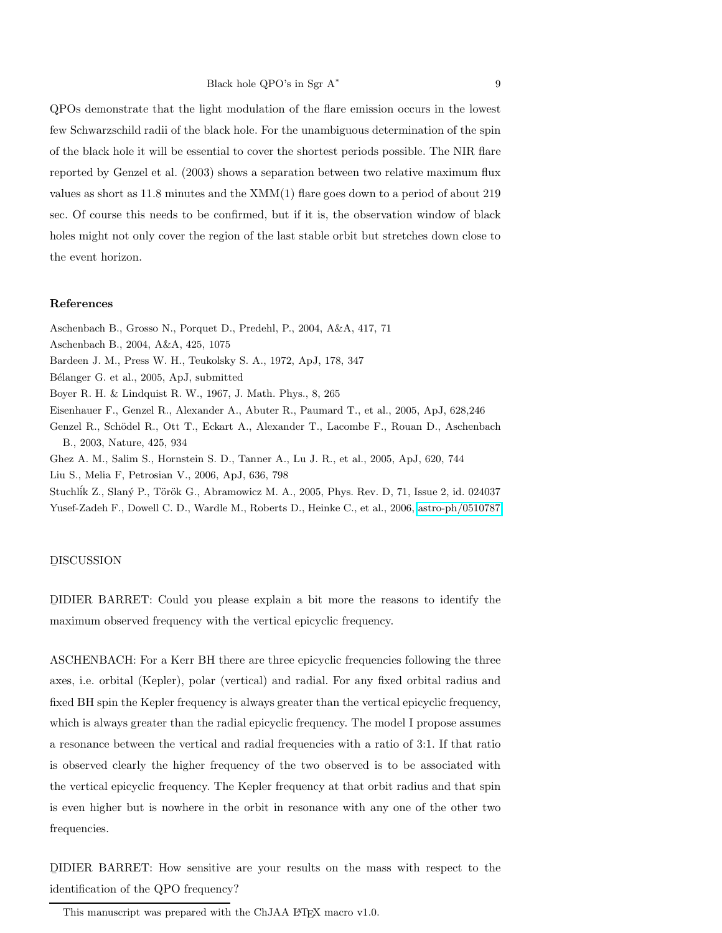QPOs demonstrate that the light modulation of the flare emission occurs in the lowest few Schwarzschild radii of the black hole. For the unambiguous determination of the spin of the black hole it will be essential to cover the shortest periods possible. The NIR flare reported by Genzel et al. (2003) shows a separation between two relative maximum flux values as short as 11.8 minutes and the XMM(1) flare goes down to a period of about 219 sec. Of course this needs to be confirmed, but if it is, the observation window of black holes might not only cover the region of the last stable orbit but stretches down close to the event horizon.

#### References

Aschenbach B., 2004, A&A, 425, 1075 Bardeen J. M., Press W. H., Teukolsky S. A., 1972, ApJ, 178, 347 Bélanger G. et al., 2005, ApJ, submitted Boyer R. H. & Lindquist R. W., 1967, J. Math. Phys., 8, 265 Eisenhauer F., Genzel R., Alexander A., Abuter R., Paumard T., et al., 2005, ApJ, 628,246 Genzel R., Schödel R., Ott T., Eckart A., Alexander T., Lacombe F., Rouan D., Aschenbach B., 2003, Nature, 425, 934

Aschenbach B., Grosso N., Porquet D., Predehl, P., 2004, A&A, 417, 71

Ghez A. M., Salim S., Hornstein S. D., Tanner A., Lu J. R., et al., 2005, ApJ, 620, 744

Liu S., Melia F, Petrosian V., 2006, ApJ, 636, 798

Stuchlík Z., Slaný P., Török G., Abramowicz M. A., 2005, Phys. Rev. D, 71, Issue 2, id. 024037 Yusef-Zadeh F., Dowell C. D., Wardle M., Roberts D., Heinke C., et al., 2006, [astro-ph/0510787](http://arxiv.org/abs/astro-ph/0510787)

# DISCUSSION

D ¯ IDIER BARRET: Could you please explain a bit more the reasons to identify the maximum observed frequency with the vertical epicyclic frequency.

ASCHENBACH: For a Kerr BH there are three epicyclic frequencies following the three axes, i.e. orbital (Kepler), polar (vertical) and radial. For any fixed orbital radius and fixed BH spin the Kepler frequency is always greater than the vertical epicyclic frequency, which is always greater than the radial epicyclic frequency. The model I propose assumes a resonance between the vertical and radial frequencies with a ratio of 3:1. If that ratio is observed clearly the higher frequency of the two observed is to be associated with the vertical epicyclic frequency. The Kepler frequency at that orbit radius and that spin is even higher but is nowhere in the orbit in resonance with any one of the other two frequencies.

D ¯ IDIER BARRET: How sensitive are your results on the mass with respect to the identification of the QPO frequency?

This manuscript was prepared with the ChJAA LATEX macro v1.0.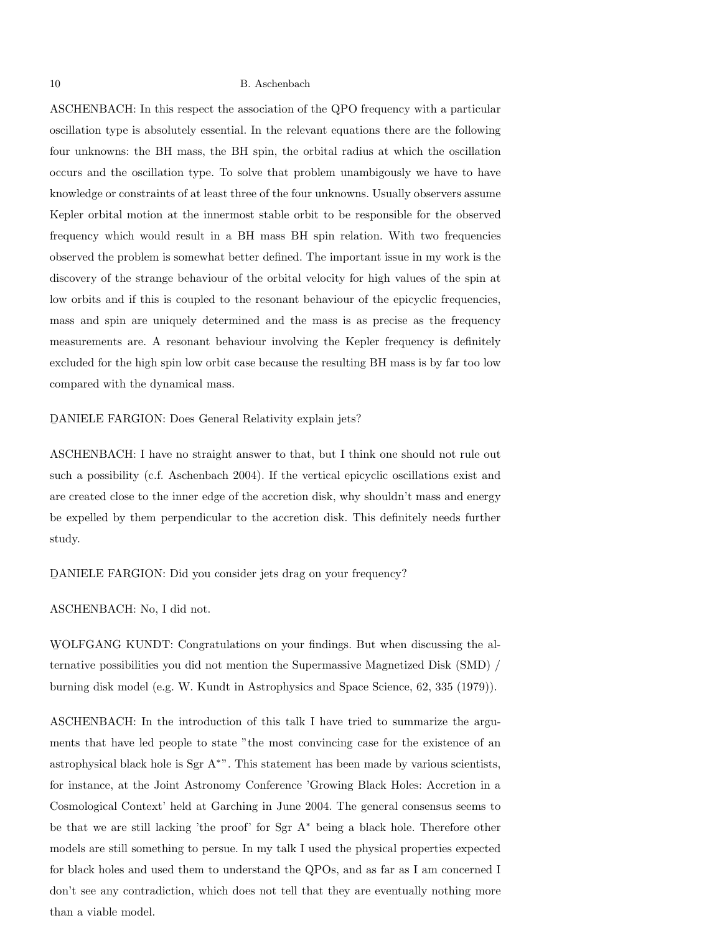ASCHENBACH: In this respect the association of the QPO frequency with a particular oscillation type is absolutely essential. In the relevant equations there are the following four unknowns: the BH mass, the BH spin, the orbital radius at which the oscillation occurs and the oscillation type. To solve that problem unambigously we have to have knowledge or constraints of at least three of the four unknowns. Usually observers assume Kepler orbital motion at the innermost stable orbit to be responsible for the observed frequency which would result in a BH mass BH spin relation. With two frequencies observed the problem is somewhat better defined. The important issue in my work is the discovery of the strange behaviour of the orbital velocity for high values of the spin at low orbits and if this is coupled to the resonant behaviour of the epicyclic frequencies, mass and spin are uniquely determined and the mass is as precise as the frequency measurements are. A resonant behaviour involving the Kepler frequency is definitely excluded for the high spin low orbit case because the resulting BH mass is by far too low compared with the dynamical mass.

D ¯ ANIELE FARGION: Does General Relativity explain jets?

ASCHENBACH: I have no straight answer to that, but I think one should not rule out such a possibility (c.f. Aschenbach 2004). If the vertical epicyclic oscillations exist and are created close to the inner edge of the accretion disk, why shouldn't mass and energy be expelled by them perpendicular to the accretion disk. This definitely needs further study.

D ¯ ANIELE FARGION: Did you consider jets drag on your frequency?

ASCHENBACH: No, I did not.

WOLFGANG KUNDT: Congratulations on your findings. But when discussing the alternative possibilities you did not mention the Supermassive Magnetized Disk (SMD) / burning disk model (e.g. W. Kundt in Astrophysics and Space Science, 62, 335 (1979)).

ASCHENBACH: In the introduction of this talk I have tried to summarize the arguments that have led people to state "the most convincing case for the existence of an astrophysical black hole is Sgr A<sup>∗</sup>". This statement has been made by various scientists, for instance, at the Joint Astronomy Conference 'Growing Black Holes: Accretion in a Cosmological Context' held at Garching in June 2004. The general consensus seems to be that we are still lacking 'the proof' for Sgr A<sup>∗</sup> being a black hole. Therefore other models are still something to persue. In my talk I used the physical properties expected for black holes and used them to understand the QPOs, and as far as I am concerned I don't see any contradiction, which does not tell that they are eventually nothing more than a viable model.